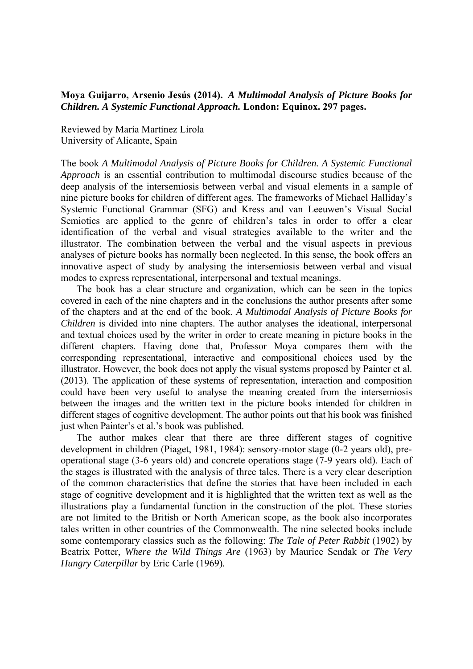## **Moya Guijarro, Arsenio Jesús (2014).** *A Multimodal Analysis of Picture Books for Children. A Systemic Functional Approach.* **London: Equinox. 297 pages.**

Reviewed by María Martínez Lirola University of Alicante, Spain

The book *A Multimodal Analysis of Picture Books for Children. A Systemic Functional Approach* is an essential contribution to multimodal discourse studies because of the deep analysis of the intersemiosis between verbal and visual elements in a sample of nine picture books for children of different ages. The frameworks of Michael Halliday's Systemic Functional Grammar (SFG) and Kress and van Leeuwen's Visual Social Semiotics are applied to the genre of children's tales in order to offer a clear identification of the verbal and visual strategies available to the writer and the illustrator. The combination between the verbal and the visual aspects in previous analyses of picture books has normally been neglected. In this sense, the book offers an innovative aspect of study by analysing the intersemiosis between verbal and visual modes to express representational, interpersonal and textual meanings.

The book has a clear structure and organization, which can be seen in the topics covered in each of the nine chapters and in the conclusions the author presents after some of the chapters and at the end of the book. *A Multimodal Analysis of Picture Books for Children* is divided into nine chapters. The author analyses the ideational, interpersonal and textual choices used by the writer in order to create meaning in picture books in the different chapters. Having done that, Professor Moya compares them with the corresponding representational, interactive and compositional choices used by the illustrator. However, the book does not apply the visual systems proposed by Painter et al. (2013). The application of these systems of representation, interaction and composition could have been very useful to analyse the meaning created from the intersemiosis between the images and the written text in the picture books intended for children in different stages of cognitive development. The author points out that his book was finished just when Painter's et al.'s book was published.

The author makes clear that there are three different stages of cognitive development in children (Piaget, 1981, 1984): sensory-motor stage (0-2 years old), preoperational stage (3-6 years old) and concrete operations stage (7-9 years old). Each of the stages is illustrated with the analysis of three tales. There is a very clear description of the common characteristics that define the stories that have been included in each stage of cognitive development and it is highlighted that the written text as well as the illustrations play a fundamental function in the construction of the plot. These stories are not limited to the British or North American scope, as the book also incorporates tales written in other countries of the Commonwealth. The nine selected books include some contemporary classics such as the following: *The Tale of Peter Rabbit* (1902) by Beatrix Potter, *Where the Wild Things Are* (1963) by Maurice Sendak or *The Very Hungry Caterpillar* by Eric Carle (1969)*.*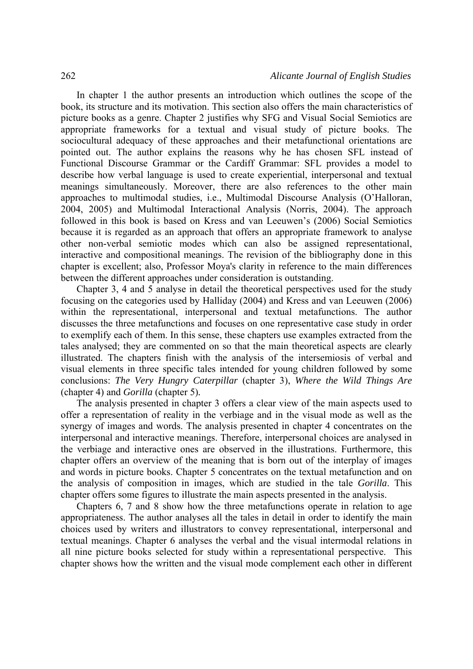In chapter 1 the author presents an introduction which outlines the scope of the book, its structure and its motivation. This section also offers the main characteristics of picture books as a genre. Chapter 2 justifies why SFG and Visual Social Semiotics are appropriate frameworks for a textual and visual study of picture books. The sociocultural adequacy of these approaches and their metafunctional orientations are pointed out. The author explains the reasons why he has chosen SFL instead of Functional Discourse Grammar or the Cardiff Grammar: SFL provides a model to describe how verbal language is used to create experiential, interpersonal and textual meanings simultaneously. Moreover, there are also references to the other main approaches to multimodal studies, i.e., Multimodal Discourse Analysis (O'Halloran, 2004, 2005) and Multimodal Interactional Analysis (Norris, 2004). The approach followed in this book is based on Kress and van Leeuwen's (2006) Social Semiotics because it is regarded as an approach that offers an appropriate framework to analyse other non-verbal semiotic modes which can also be assigned representational, interactive and compositional meanings. The revision of the bibliography done in this chapter is excellent; also, Professor Moya's clarity in reference to the main differences between the different approaches under consideration is outstanding.

Chapter 3, 4 and 5 analyse in detail the theoretical perspectives used for the study focusing on the categories used by Halliday (2004) and Kress and van Leeuwen (2006) within the representational, interpersonal and textual metafunctions. The author discusses the three metafunctions and focuses on one representative case study in order to exemplify each of them. In this sense, these chapters use examples extracted from the tales analysed; they are commented on so that the main theoretical aspects are clearly illustrated. The chapters finish with the analysis of the intersemiosis of verbal and visual elements in three specific tales intended for young children followed by some conclusions: *The Very Hungry Caterpillar* (chapter 3), *Where the Wild Things Are*  (chapter 4) and *Gorilla* (chapter 5)*.* 

The analysis presented in chapter 3 offers a clear view of the main aspects used to offer a representation of reality in the verbiage and in the visual mode as well as the synergy of images and words. The analysis presented in chapter 4 concentrates on the interpersonal and interactive meanings. Therefore, interpersonal choices are analysed in the verbiage and interactive ones are observed in the illustrations. Furthermore, this chapter offers an overview of the meaning that is born out of the interplay of images and words in picture books. Chapter 5 concentrates on the textual metafunction and on the analysis of composition in images, which are studied in the tale *Gorilla*. This chapter offers some figures to illustrate the main aspects presented in the analysis.

Chapters 6, 7 and 8 show how the three metafunctions operate in relation to age appropriateness. The author analyses all the tales in detail in order to identify the main choices used by writers and illustrators to convey representational, interpersonal and textual meanings. Chapter 6 analyses the verbal and the visual intermodal relations in all nine picture books selected for study within a representational perspective. This chapter shows how the written and the visual mode complement each other in different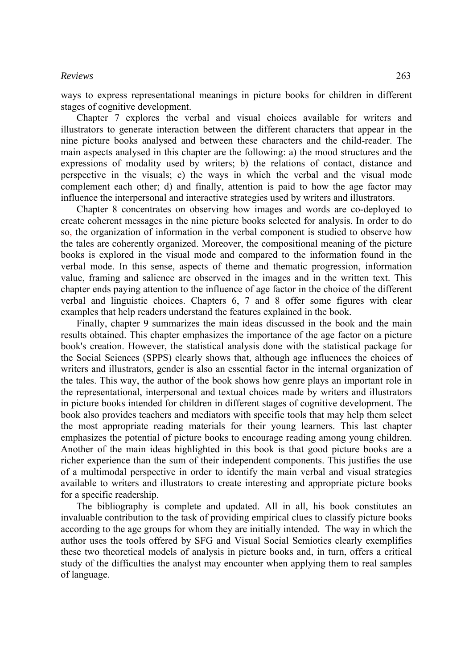## *Reviews* 263

ways to express representational meanings in picture books for children in different stages of cognitive development.

Chapter 7 explores the verbal and visual choices available for writers and illustrators to generate interaction between the different characters that appear in the nine picture books analysed and between these characters and the child-reader. The main aspects analysed in this chapter are the following: a) the mood structures and the expressions of modality used by writers; b) the relations of contact, distance and perspective in the visuals; c) the ways in which the verbal and the visual mode complement each other; d) and finally, attention is paid to how the age factor may influence the interpersonal and interactive strategies used by writers and illustrators.

Chapter 8 concentrates on observing how images and words are co-deployed to create coherent messages in the nine picture books selected for analysis. In order to do so, the organization of information in the verbal component is studied to observe how the tales are coherently organized. Moreover, the compositional meaning of the picture books is explored in the visual mode and compared to the information found in the verbal mode. In this sense, aspects of theme and thematic progression, information value, framing and salience are observed in the images and in the written text. This chapter ends paying attention to the influence of age factor in the choice of the different verbal and linguistic choices. Chapters 6, 7 and 8 offer some figures with clear examples that help readers understand the features explained in the book.

Finally, chapter 9 summarizes the main ideas discussed in the book and the main results obtained. This chapter emphasizes the importance of the age factor on a picture book's creation. However, the statistical analysis done with the statistical package for the Social Sciences (SPPS) clearly shows that, although age influences the choices of writers and illustrators, gender is also an essential factor in the internal organization of the tales. This way, the author of the book shows how genre plays an important role in the representational, interpersonal and textual choices made by writers and illustrators in picture books intended for children in different stages of cognitive development. The book also provides teachers and mediators with specific tools that may help them select the most appropriate reading materials for their young learners. This last chapter emphasizes the potential of picture books to encourage reading among young children. Another of the main ideas highlighted in this book is that good picture books are a richer experience than the sum of their independent components. This justifies the use of a multimodal perspective in order to identify the main verbal and visual strategies available to writers and illustrators to create interesting and appropriate picture books for a specific readership.

The bibliography is complete and updated. All in all, his book constitutes an invaluable contribution to the task of providing empirical clues to classify picture books according to the age groups for whom they are initially intended. The way in which the author uses the tools offered by SFG and Visual Social Semiotics clearly exemplifies these two theoretical models of analysis in picture books and, in turn, offers a critical study of the difficulties the analyst may encounter when applying them to real samples of language.